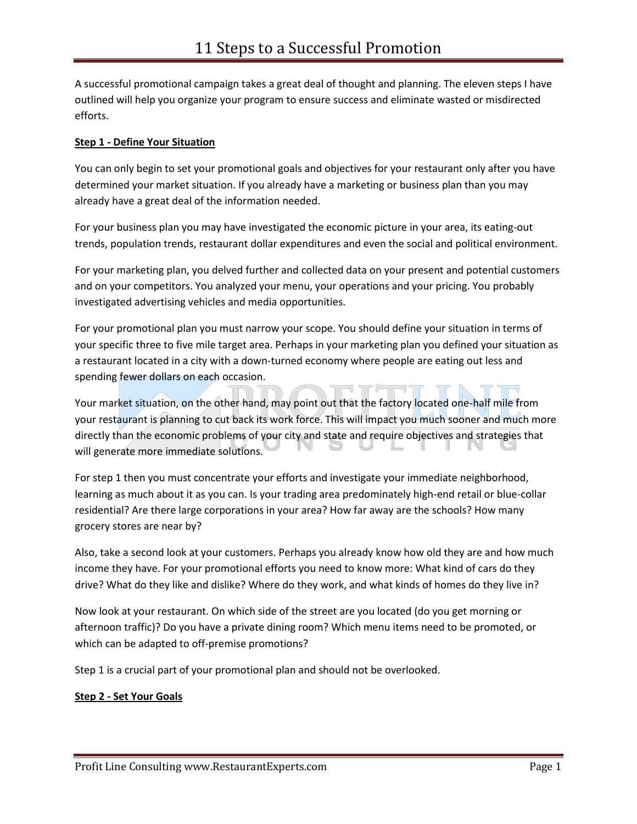A successful promotional campaign takes a great deal of thought and planning. The eleven steps I have outlined will help you organize your program to ensure success and eliminate wasted or misdirected efforts.

# **Step 1 - Define Your Situation**

You can only begin to set your promotional goals and objectives for your restaurant only after you have determined your market situation. If you already have a marketing or business plan than you may already have a great deal of the information needed.

For your business plan you may have investigated the economic picture in your area, its eating-out trends, population trends, restaurant dollar expenditures and even the social and political environment.

For your marketing plan, you delved further and collected data on your present and potential customers and on your competitors. You analyzed your menu, your operations and your pricing. You probably investigated advertising vehicles and media opportunities.

For your promotional plan you must narrow your scope. You should define your situation in terms of your specific three to five mile target area. Perhaps in your marketing plan you defined your situation as a restaurant located in a city with a down-turned economy where people are eating out less and spending fewer dollars on each occasion.

Your market situation, on the other hand, may point out that the factory located one-half mile from your restaurant is planning to cut back its work force. This will impact you much sooner and much more directly than the economic problems of your city and state and require objectives and strategies that will generate more immediate solutions.

For step 1 then you must concentrate your efforts and investigate your immediate neighborhood, learning as much about it as you can. Is your trading area predominately high-end retail or blue-collar residential? Are there large corporations in your area? How far away are the schools? How many grocery stores are near by?

Also, take a second look at your customers. Perhaps you already know how old they are and how much income they have. For your promotional efforts you need to know more: What kind of cars do they drive? What do they like and dislike? Where do they work, and what kinds of homes do they live in?

Now look at your restaurant. On which side of the street are you located (do you get morning or afternoon traffic)? Do you have a private dining room? Which menu items need to be promoted, or which can be adapted to off-premise promotions?

Step 1 is a crucial part of your promotional plan and should not be overlooked.

## **Step 2 - Set Your Goals**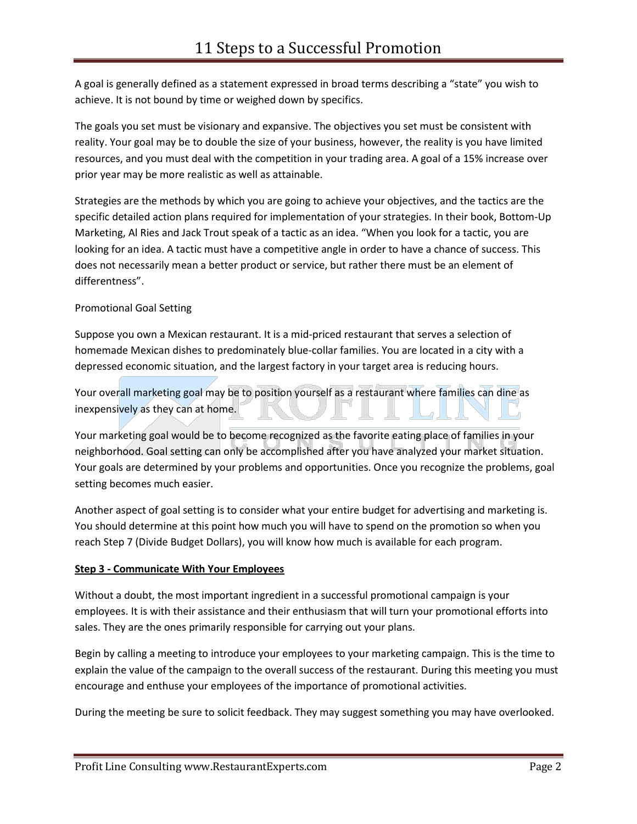A goal is generally defined as a statement expressed in broad terms describing a "state" you wish to achieve. It is not bound by time or weighed down by specifics.

The goals you set must be visionary and expansive. The objectives you set must be consistent with reality. Your goal may be to double the size of your business, however, the reality is you have limited resources, and you must deal with the competition in your trading area. A goal of a 15% increase over prior year may be more realistic as well as attainable.

Strategies are the methods by which you are going to achieve your objectives, and the tactics are the specific detailed action plans required for implementation of your strategies. In their book, Bottom-Up Marketing, Al Ries and Jack Trout speak of a tactic as an idea. "When you look for a tactic, you are looking for an idea. A tactic must have a competitive angle in order to have a chance of success. This does not necessarily mean a better product or service, but rather there must be an element of differentness".

# Promotional Goal Setting

Suppose you own a Mexican restaurant. It is a mid-priced restaurant that serves a selection of homemade Mexican dishes to predominately blue-collar families. You are located in a city with a depressed economic situation, and the largest factory in your target area is reducing hours.

Your overall marketing goal may be to position yourself as a restaurant where families can dine as inexpensively as they can at home.

Your marketing goal would be to become recognized as the favorite eating place of families in your neighborhood. Goal setting can only be accomplished after you have analyzed your market situation. Your goals are determined by your problems and opportunities. Once you recognize the problems, goal setting becomes much easier.

Another aspect of goal setting is to consider what your entire budget for advertising and marketing is. You should determine at this point how much you will have to spend on the promotion so when you reach Step 7 (Divide Budget Dollars), you will know how much is available for each program.

## **Step 3 - Communicate With Your Employees**

Without a doubt, the most important ingredient in a successful promotional campaign is your employees. It is with their assistance and their enthusiasm that will turn your promotional efforts into sales. They are the ones primarily responsible for carrying out your plans.

Begin by calling a meeting to introduce your employees to your marketing campaign. This is the time to explain the value of the campaign to the overall success of the restaurant. During this meeting you must encourage and enthuse your employees of the importance of promotional activities.

During the meeting be sure to solicit feedback. They may suggest something you may have overlooked.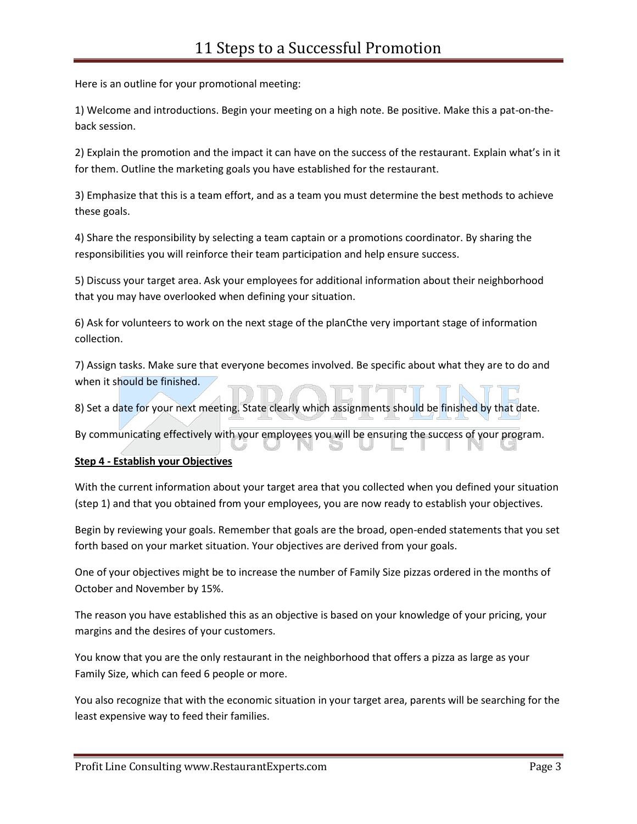Here is an outline for your promotional meeting:

1) Welcome and introductions. Begin your meeting on a high note. Be positive. Make this a pat-on-theback session.

2) Explain the promotion and the impact it can have on the success of the restaurant. Explain what's in it for them. Outline the marketing goals you have established for the restaurant.

3) Emphasize that this is a team effort, and as a team you must determine the best methods to achieve these goals.

4) Share the responsibility by selecting a team captain or a promotions coordinator. By sharing the responsibilities you will reinforce their team participation and help ensure success.

5) Discuss your target area. Ask your employees for additional information about their neighborhood that you may have overlooked when defining your situation.

6) Ask for volunteers to work on the next stage of the planCthe very important stage of information collection.

7) Assign tasks. Make sure that everyone becomes involved. Be specific about what they are to do and when it should be finished.

8) Set a date for your next meeting. State clearly which assignments should be finished by that date.

By communicating effectively with your employees you will be ensuring the success of your program.

## **Step 4 - Establish your Objectives**

With the current information about your target area that you collected when you defined your situation (step 1) and that you obtained from your employees, you are now ready to establish your objectives.

Begin by reviewing your goals. Remember that goals are the broad, open-ended statements that you set forth based on your market situation. Your objectives are derived from your goals.

One of your objectives might be to increase the number of Family Size pizzas ordered in the months of October and November by 15%.

The reason you have established this as an objective is based on your knowledge of your pricing, your margins and the desires of your customers.

You know that you are the only restaurant in the neighborhood that offers a pizza as large as your Family Size, which can feed 6 people or more.

You also recognize that with the economic situation in your target area, parents will be searching for the least expensive way to feed their families.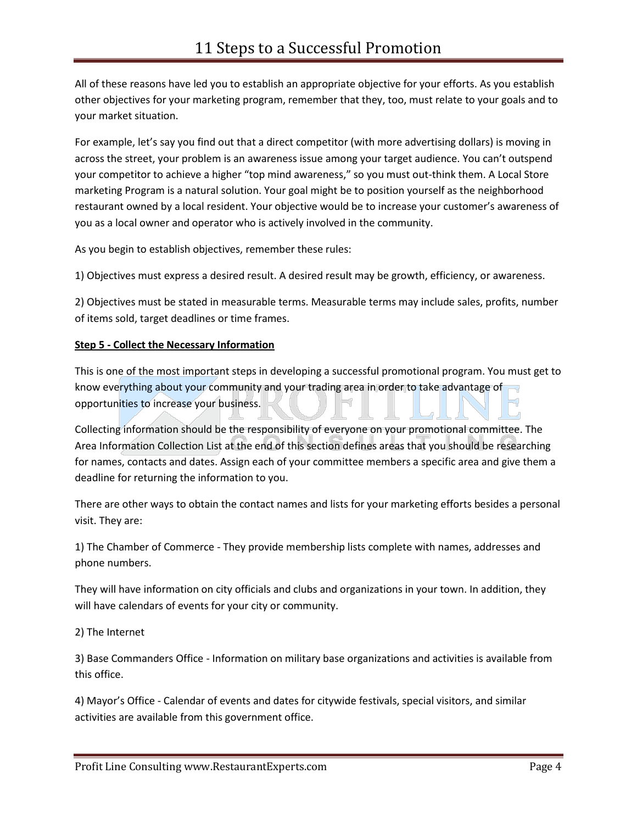All of these reasons have led you to establish an appropriate objective for your efforts. As you establish other objectives for your marketing program, remember that they, too, must relate to your goals and to your market situation.

For example, let's say you find out that a direct competitor (with more advertising dollars) is moving in across the street, your problem is an awareness issue among your target audience. You can't outspend your competitor to achieve a higher "top mind awareness," so you must out-think them. A Local Store marketing Program is a natural solution. Your goal might be to position yourself as the neighborhood restaurant owned by a local resident. Your objective would be to increase your customer's awareness of you as a local owner and operator who is actively involved in the community.

As you begin to establish objectives, remember these rules:

1) Objectives must express a desired result. A desired result may be growth, efficiency, or awareness.

2) Objectives must be stated in measurable terms. Measurable terms may include sales, profits, number of items sold, target deadlines or time frames.

### **Step 5 - Collect the Necessary Information**

This is one of the most important steps in developing a successful promotional program. You must get to know everything about your community and your trading area in order to take advantage of opportunities to increase your business.

Collecting information should be the responsibility of everyone on your promotional committee. The Area Information Collection List at the end of this section defines areas that you should be researching for names, contacts and dates. Assign each of your committee members a specific area and give them a deadline for returning the information to you.

There are other ways to obtain the contact names and lists for your marketing efforts besides a personal visit. They are:

1) The Chamber of Commerce - They provide membership lists complete with names, addresses and phone numbers.

They will have information on city officials and clubs and organizations in your town. In addition, they will have calendars of events for your city or community.

2) The Internet

3) Base Commanders Office - Information on military base organizations and activities is available from this office.

4) Mayor's Office - Calendar of events and dates for citywide festivals, special visitors, and similar activities are available from this government office.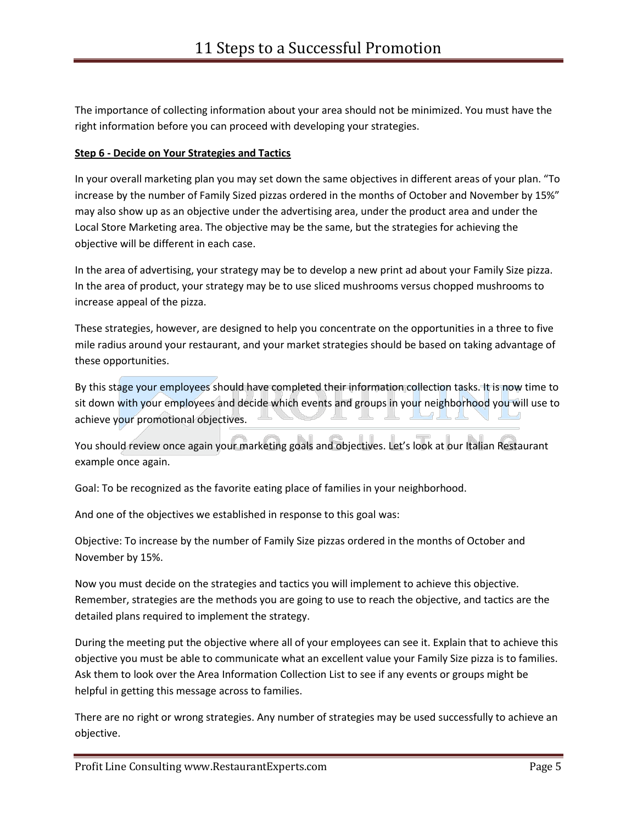The importance of collecting information about your area should not be minimized. You must have the right information before you can proceed with developing your strategies.

#### **Step 6 - Decide on Your Strategies and Tactics**

In your overall marketing plan you may set down the same objectives in different areas of your plan. "To increase by the number of Family Sized pizzas ordered in the months of October and November by 15%" may also show up as an objective under the advertising area, under the product area and under the Local Store Marketing area. The objective may be the same, but the strategies for achieving the objective will be different in each case.

In the area of advertising, your strategy may be to develop a new print ad about your Family Size pizza. In the area of product, your strategy may be to use sliced mushrooms versus chopped mushrooms to increase appeal of the pizza.

These strategies, however, are designed to help you concentrate on the opportunities in a three to five mile radius around your restaurant, and your market strategies should be based on taking advantage of these opportunities.

By this stage your employees should have completed their information collection tasks. It is now time to sit down with your employees and decide which events and groups in your neighborhood you will use to achieve your promotional objectives.

You should review once again your marketing goals and objectives. Let's look at our Italian Restaurant example once again.

Goal: To be recognized as the favorite eating place of families in your neighborhood.

And one of the objectives we established in response to this goal was:

Objective: To increase by the number of Family Size pizzas ordered in the months of October and November by 15%.

Now you must decide on the strategies and tactics you will implement to achieve this objective. Remember, strategies are the methods you are going to use to reach the objective, and tactics are the detailed plans required to implement the strategy.

During the meeting put the objective where all of your employees can see it. Explain that to achieve this objective you must be able to communicate what an excellent value your Family Size pizza is to families. Ask them to look over the Area Information Collection List to see if any events or groups might be helpful in getting this message across to families.

There are no right or wrong strategies. Any number of strategies may be used successfully to achieve an objective.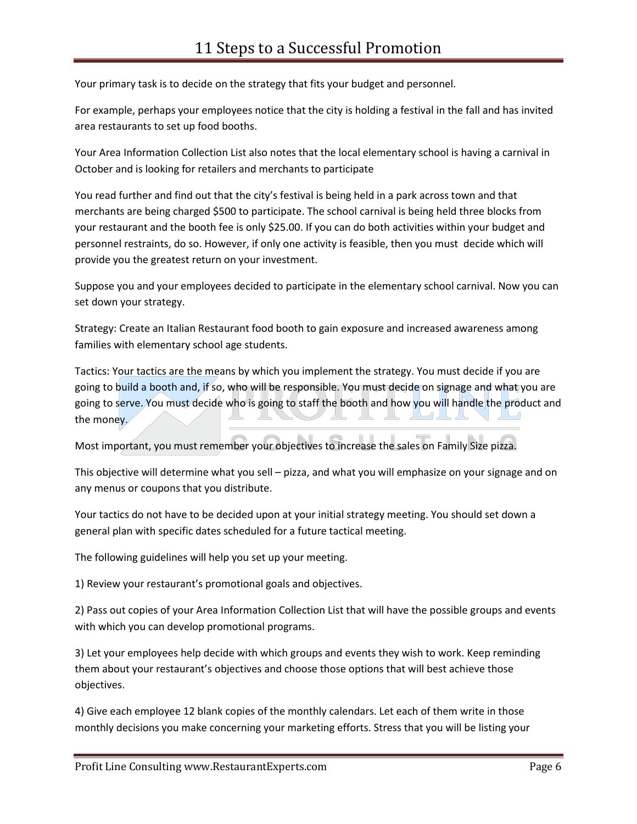Your primary task is to decide on the strategy that fits your budget and personnel.

For example, perhaps your employees notice that the city is holding a festival in the fall and has invited area restaurants to set up food booths.

Your Area Information Collection List also notes that the local elementary school is having a carnival in October and is looking for retailers and merchants to participate

You read further and find out that the city's festival is being held in a park across town and that merchants are being charged \$500 to participate. The school carnival is being held three blocks from your restaurant and the booth fee is only \$25.00. If you can do both activities within your budget and personnel restraints, do so. However, if only one activity is feasible, then you must decide which will provide you the greatest return on your investment.

Suppose you and your employees decided to participate in the elementary school carnival. Now you can set down your strategy.

Strategy: Create an Italian Restaurant food booth to gain exposure and increased awareness among families with elementary school age students.

Tactics: Your tactics are the means by which you implement the strategy. You must decide if you are going to build a booth and, if so, who will be responsible. You must decide on signage and what you are going to serve. You must decide who is going to staff the booth and how you will handle the product and the money.

Most important, you must remember your objectives to increase the sales on Family Size pizza.

This objective will determine what you sell – pizza, and what you will emphasize on your signage and on any menus or coupons that you distribute.

Your tactics do not have to be decided upon at your initial strategy meeting. You should set down a general plan with specific dates scheduled for a future tactical meeting.

The following guidelines will help you set up your meeting.

1) Review your restaurant's promotional goals and objectives.

2) Pass out copies of your Area Information Collection List that will have the possible groups and events with which you can develop promotional programs.

3) Let your employees help decide with which groups and events they wish to work. Keep reminding them about your restaurant's objectives and choose those options that will best achieve those objectives.

4) Give each employee 12 blank copies of the monthly calendars. Let each of them write in those monthly decisions you make concerning your marketing efforts. Stress that you will be listing your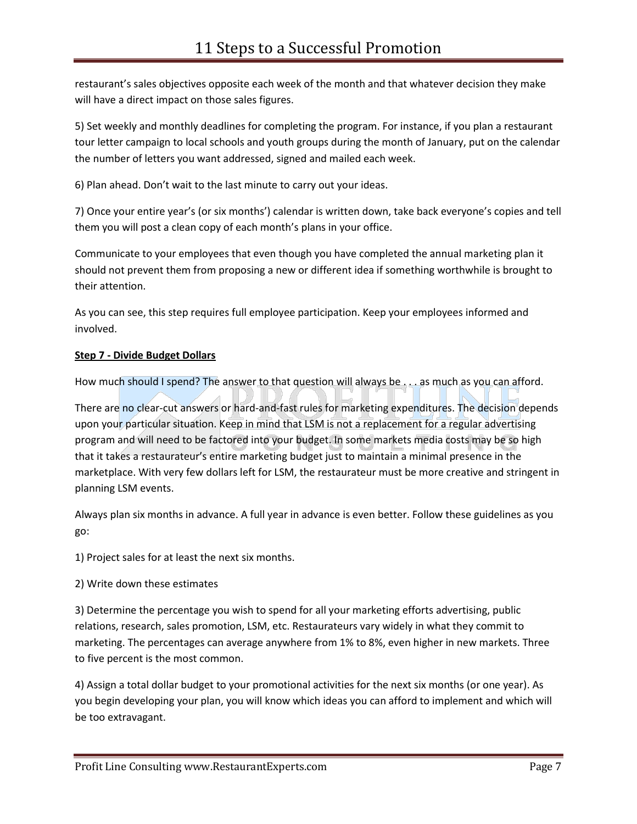restaurant's sales objectives opposite each week of the month and that whatever decision they make will have a direct impact on those sales figures.

5) Set weekly and monthly deadlines for completing the program. For instance, if you plan a restaurant tour letter campaign to local schools and youth groups during the month of January, put on the calendar the number of letters you want addressed, signed and mailed each week.

6) Plan ahead. Don't wait to the last minute to carry out your ideas.

7) Once your entire year's (or six months') calendar is written down, take back everyone's copies and tell them you will post a clean copy of each month's plans in your office.

Communicate to your employees that even though you have completed the annual marketing plan it should not prevent them from proposing a new or different idea if something worthwhile is brought to their attention.

As you can see, this step requires full employee participation. Keep your employees informed and involved.

## **Step 7 - Divide Budget Dollars**

How much should I spend? The answer to that question will always be . . . as much as you can afford.

There are no clear-cut answers or hard-and-fast rules for marketing expenditures. The decision depends upon your particular situation. Keep in mind that LSM is not a replacement for a regular advertising program and will need to be factored into your budget. In some markets media costs may be so high that it takes a restaurateur's entire marketing budget just to maintain a minimal presence in the marketplace. With very few dollars left for LSM, the restaurateur must be more creative and stringent in planning LSM events.

Always plan six months in advance. A full year in advance is even better. Follow these guidelines as you go:

1) Project sales for at least the next six months.

## 2) Write down these estimates

3) Determine the percentage you wish to spend for all your marketing efforts advertising, public relations, research, sales promotion, LSM, etc. Restaurateurs vary widely in what they commit to marketing. The percentages can average anywhere from 1% to 8%, even higher in new markets. Three to five percent is the most common.

4) Assign a total dollar budget to your promotional activities for the next six months (or one year). As you begin developing your plan, you will know which ideas you can afford to implement and which will be too extravagant.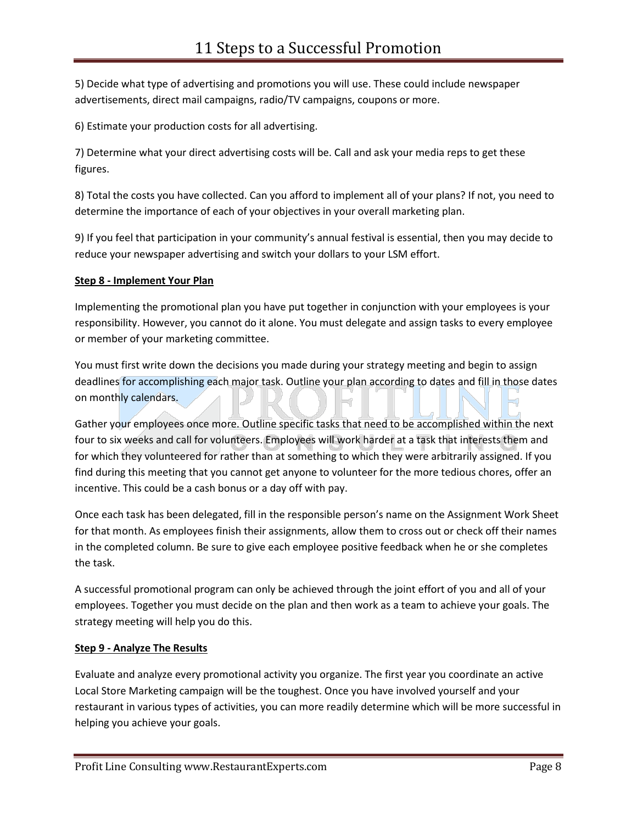5) Decide what type of advertising and promotions you will use. These could include newspaper advertisements, direct mail campaigns, radio/TV campaigns, coupons or more.

6) Estimate your production costs for all advertising.

7) Determine what your direct advertising costs will be. Call and ask your media reps to get these figures.

8) Total the costs you have collected. Can you afford to implement all of your plans? If not, you need to determine the importance of each of your objectives in your overall marketing plan.

9) If you feel that participation in your community's annual festival is essential, then you may decide to reduce your newspaper advertising and switch your dollars to your LSM effort.

### **Step 8 - Implement Your Plan**

Implementing the promotional plan you have put together in conjunction with your employees is your responsibility. However, you cannot do it alone. You must delegate and assign tasks to every employee or member of your marketing committee.

You must first write down the decisions you made during your strategy meeting and begin to assign deadlines for accomplishing each major task. Outline your plan according to dates and fill in those dates on monthly calendars.

Gather your employees once more. Outline specific tasks that need to be accomplished within the next four to six weeks and call for volunteers. Employees will work harder at a task that interests them and for which they volunteered for rather than at something to which they were arbitrarily assigned. If you find during this meeting that you cannot get anyone to volunteer for the more tedious chores, offer an incentive. This could be a cash bonus or a day off with pay.

Once each task has been delegated, fill in the responsible person's name on the Assignment Work Sheet for that month. As employees finish their assignments, allow them to cross out or check off their names in the completed column. Be sure to give each employee positive feedback when he or she completes the task.

A successful promotional program can only be achieved through the joint effort of you and all of your employees. Together you must decide on the plan and then work as a team to achieve your goals. The strategy meeting will help you do this.

#### **Step 9 - Analyze The Results**

Evaluate and analyze every promotional activity you organize. The first year you coordinate an active Local Store Marketing campaign will be the toughest. Once you have involved yourself and your restaurant in various types of activities, you can more readily determine which will be more successful in helping you achieve your goals.